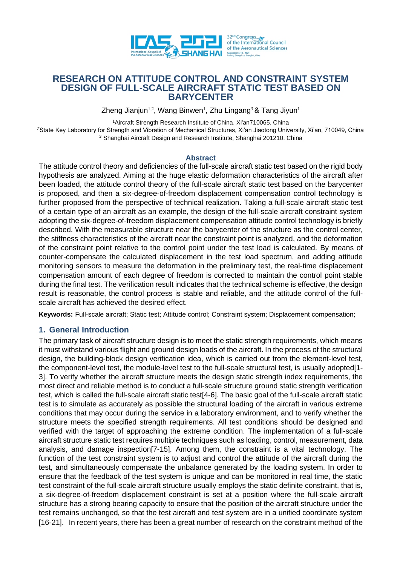

# **RESEARCH ON ATTITUDE CONTROL AND CONSTRAINT SYSTEM DESIGN OF FULL-SCALE AIRCRAFT STATIC TEST BASED ON BARYCENTER**

Zheng Jianjun<sup>1,2</sup>, Wang Binwen<sup>1</sup>, Zhu Lingang<sup>3</sup> & Tang Jiyun<sup>1</sup>

<sup>1</sup>Aircraft Strength Research Institute of China, Xi'an710065, China

*<sup>2</sup>*State Key Laboratory for Strength and Vibration of Mechanical Structures, Xi'an Jiaotong University, Xi'an, 710049, China <sup>3</sup> Shanghai Aircraft Design and Research Institute, Shanghai 201210, China

#### **Abstract**

The attitude control theory and deficiencies of the full-scale aircraft static test based on the rigid body hypothesis are analyzed. Aiming at the huge elastic deformation characteristics of the aircraft after been loaded, the attitude control theory of the full-scale aircraft static test based on the barycenter is proposed, and then a six-degree-of-freedom displacement compensation control technology is further proposed from the perspective of technical realization. Taking a full-scale aircraft static test of a certain type of an aircraft as an example, the design of the full-scale aircraft constraint system adopting the six-degree-of-freedom displacement compensation attitude control technology is briefly described. With the measurable structure near the barycenter of the structure as the control center, the stiffness characteristics of the aircraft near the constraint point is analyzed, and the deformation of the constraint point relative to the control point under the test load is calculated. By means of counter-compensate the calculated displacement in the test load spectrum, and adding attitude monitoring sensors to measure the deformation in the preliminary test, the real-time displacement compensation amount of each degree of freedom is corrected to maintain the control point stable during the final test. The verification result indicates that the technical scheme is effective, the design result is reasonable, the control process is stable and reliable, and the attitude control of the fullscale aircraft has achieved the desired effect.

**Keywords:** Full-scale aircraft; Static test; Attitude control; Constraint system; Displacement compensation;

### **1. General Introduction**

The primary task of aircraft structure design is to meet the static strength requirements, which means it must withstand various flight and ground design loads of the aircraft. In the process of the structural design, the building-block design verification idea, which is carried out from the element-level test, the component-level test, the module-level test to the full-scale structural test, is usually adopted[1- 3]. To verify whether the aircraft structure meets the design static strength index requirements, the most direct and reliable method is to conduct a full-scale structure ground static strength verification test, which is called the full-scale aircraft static test[4-6]. The basic goal of the full-scale aircraft static test is to simulate as accurately as possible the structural loading of the aircraft in various extreme conditions that may occur during the service in a laboratory environment, and to verify whether the structure meets the specified strength requirements. All test conditions should be designed and verified with the target of approaching the extreme condition. The implementation of a full-scale aircraft structure static test requires multiple techniques such as loading, control, measurement, data analysis, and damage inspection[7-15]. Among them, the constraint is a vital technology. The function of the test constraint system is to adjust and control the attitude of the aircraft during the test, and simultaneously compensate the unbalance generated by the loading system. In order to ensure that the feedback of the test system is unique and can be monitored in real time, the static test constraint of the full-scale aircraft structure usually employs the static definite constraint, that is, a six-degree-of-freedom displacement constraint is set at a position where the full-scale aircraft structure has a strong bearing capacity to ensure that the position of the aircraft structure under the test remains unchanged, so that the test aircraft and test system are in a unified coordinate system [16-21]. In recent years, there has been a great number of research on the constraint method of the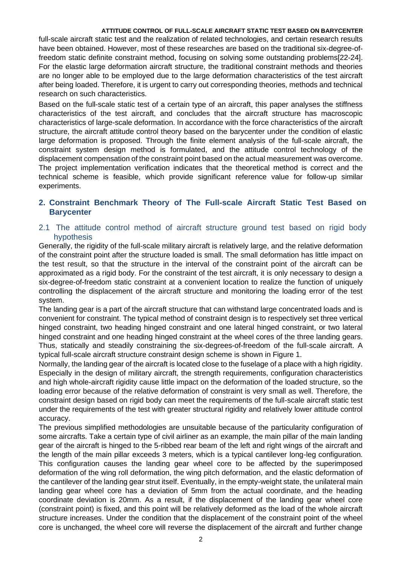full-scale aircraft static test and the realization of related technologies, and certain research results have been obtained. However, most of these researches are based on the traditional six-degree-offreedom static definite constraint method, focusing on solving some outstanding problems[22-24]. For the elastic large deformation aircraft structure, the traditional constraint methods and theories are no longer able to be employed due to the large deformation characteristics of the test aircraft after being loaded. Therefore, it is urgent to carry out corresponding theories, methods and technical research on such characteristics.

Based on the full-scale static test of a certain type of an aircraft, this paper analyses the stiffness characteristics of the test aircraft, and concludes that the aircraft structure has macroscopic characteristics of large-scale deformation. In accordance with the force characteristics of the aircraft structure, the aircraft attitude control theory based on the barycenter under the condition of elastic large deformation is proposed. Through the finite element analysis of the full-scale aircraft, the constraint system design method is formulated, and the attitude control technology of the displacement compensation of the constraint point based on the actual measurement was overcome. The project implementation verification indicates that the theoretical method is correct and the technical scheme is feasible, which provide significant reference value for follow-up similar experiments.

### **2. Constraint Benchmark Theory of The Full-scale Aircraft Static Test Based on Barycenter**

# 2.1 The attitude control method of aircraft structure ground test based on rigid body hypothesis

Generally, the rigidity of the full-scale military aircraft is relatively large, and the relative deformation of the constraint point after the structure loaded is small. The small deformation has little impact on the test result, so that the structure in the interval of the constraint point of the aircraft can be approximated as a rigid body. For the constraint of the test aircraft, it is only necessary to design a six-degree-of-freedom static constraint at a convenient location to realize the function of uniquely controlling the displacement of the aircraft structure and monitoring the loading error of the test system.

The landing gear is a part of the aircraft structure that can withstand large concentrated loads and is convenient for constraint. The typical method of constraint design is to respectively set three vertical hinged constraint, two heading hinged constraint and one lateral hinged constraint, or two lateral hinged constraint and one heading hinged constraint at the wheel cores of the three landing gears. Thus, statically and steadily constraining the six-degrees-of-freedom of the full-scale aircraft. A typical full-scale aircraft structure constraint design scheme is shown in Figure 1.

Normally, the landing gear of the aircraft is located close to the fuselage of a place with a high rigidity. Especially in the design of military aircraft, the strength requirements, configuration characteristics and high whole-aircraft rigidity cause little impact on the deformation of the loaded structure, so the loading error because of the relative deformation of constraint is very small as well. Therefore, the constraint design based on rigid body can meet the requirements of the full-scale aircraft static test under the requirements of the test with greater structural rigidity and relatively lower attitude control accuracy.

The previous simplified methodologies are unsuitable because of the particularity configuration of some aircrafts. Take a certain type of civil airliner as an example, the main pillar of the main landing gear of the aircraft is hinged to the 5-ribbed rear beam of the left and right wings of the aircraft and the length of the main pillar exceeds 3 meters, which is a typical cantilever long-leg configuration. This configuration causes the landing gear wheel core to be affected by the superimposed deformation of the wing roll deformation, the wing pitch deformation, and the elastic deformation of the cantilever of the landing gear strut itself. Eventually, in the empty-weight state, the unilateral main landing gear wheel core has a deviation of 5mm from the actual coordinate, and the heading coordinate deviation is 20mm. As a result, if the displacement of the landing gear wheel core (constraint point) is fixed, and this point will be relatively deformed as the load of the whole aircraft structure increases. Under the condition that the displacement of the constraint point of the wheel core is unchanged, the wheel core will reverse the displacement of the aircraft and further change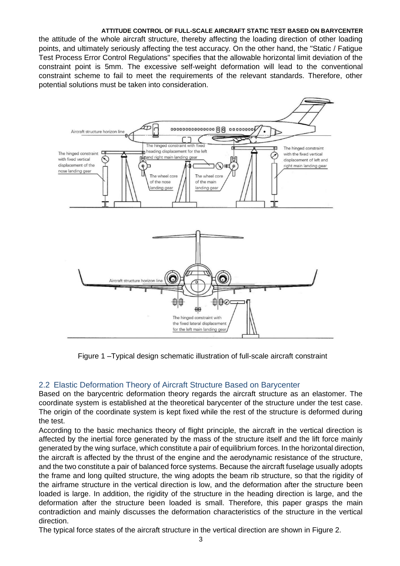the attitude of the whole aircraft structure, thereby affecting the loading direction of other loading points, and ultimately seriously affecting the test accuracy. On the other hand, the "Static / Fatigue Test Process Error Control Regulations" specifies that the allowable horizontal limit deviation of the constraint point is 5mm. The excessive self-weight deformation will lead to the conventional constraint scheme to fail to meet the requirements of the relevant standards. Therefore, other potential solutions must be taken into consideration.



Figure 1 –Typical design schematic illustration of full-scale aircraft constraint

# 2.2 Elastic Deformation Theory of Aircraft Structure Based on Barycenter

Based on the barycentric deformation theory regards the aircraft structure as an elastomer. The coordinate system is established at the theoretical barycenter of the structure under the test case. The origin of the coordinate system is kept fixed while the rest of the structure is deformed during the test.

According to the basic mechanics theory of flight principle, the aircraft in the vertical direction is affected by the inertial force generated by the mass of the structure itself and the lift force mainly generated by the wing surface, which constitute a pair of equilibrium forces. In the horizontal direction, the aircraft is affected by the thrust of the engine and the aerodynamic resistance of the structure, and the two constitute a pair of balanced force systems. Because the aircraft fuselage usually adopts the frame and long quilted structure, the wing adopts the beam rib structure, so that the rigidity of the airframe structure in the vertical direction is low, and the deformation after the structure been loaded is large. In addition, the rigidity of the structure in the heading direction is large, and the deformation after the structure been loaded is small. Therefore, this paper grasps the main contradiction and mainly discusses the deformation characteristics of the structure in the vertical direction.

The typical force states of the aircraft structure in the vertical direction are shown in Figure 2.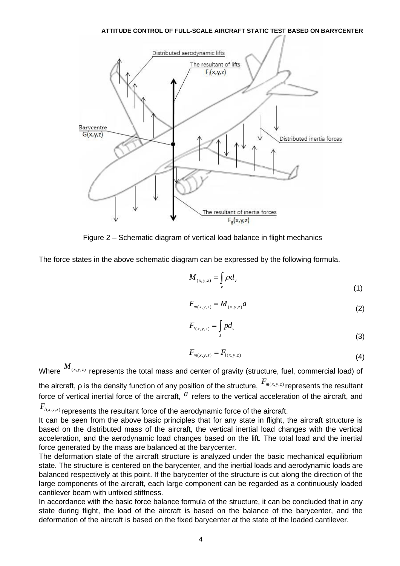

Figure 2 – Schematic diagram of vertical load balance in flight mechanics

The force states in the above schematic diagram can be expressed by the following formula.

$$
M_{(x,y,z)} = \int_{v} \rho d_{v} \tag{1}
$$

$$
F_{m(x,y,z)} = M_{(x,y,z)}a
$$
 (2)

$$
F_{l(x,y,z)} = \int_s p d_s \tag{3}
$$

$$
F_{m(x,y,z)} = F_{l(x,y,z)}
$$
\n(4)

Where  $^{M_{(x,y,z)}}$  represents the total mass and center of gravity (structure, fuel, commercial load) of the aircraft, ρ is the density function of any position of the structure,  $\frac{F_{m(x,y,z)}}{F_{m(x,y,z)}}$ represents the resultant force of vertical inertial force of the aircraft,  $a$  refers to the vertical acceleration of the aircraft, and

 $F_{\iota^{(x,y,z)}}$ represents the resultant force of the aerodynamic force of the aircraft.

It can be seen from the above basic principles that for any state in flight, the aircraft structure is based on the distributed mass of the aircraft, the vertical inertial load changes with the vertical acceleration, and the aerodynamic load changes based on the lift. The total load and the inertial force generated by the mass are balanced at the barycenter.

The deformation state of the aircraft structure is analyzed under the basic mechanical equilibrium state. The structure is centered on the barycenter, and the inertial loads and aerodynamic loads are balanced respectively at this point. If the barycenter of the structure is cut along the direction of the large components of the aircraft, each large component can be regarded as a continuously loaded cantilever beam with unfixed stiffness.

In accordance with the basic force balance formula of the structure, it can be concluded that in any state during flight, the load of the aircraft is based on the balance of the barycenter, and the deformation of the aircraft is based on the fixed barycenter at the state of the loaded cantilever.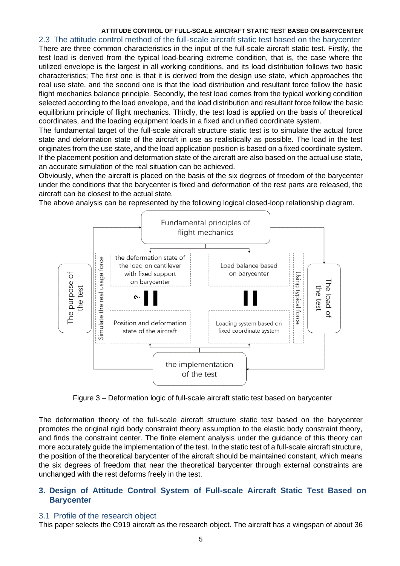2.3 The attitude control method of the full-scale aircraft static test based on the barycenter

There are three common characteristics in the input of the full-scale aircraft static test. Firstly, the test load is derived from the typical load-bearing extreme condition, that is, the case where the utilized envelope is the largest in all working conditions, and its load distribution follows two basic characteristics; The first one is that it is derived from the design use state, which approaches the real use state, and the second one is that the load distribution and resultant force follow the basic flight mechanics balance principle. Secondly, the test load comes from the typical working condition selected according to the load envelope, and the load distribution and resultant force follow the basic equilibrium principle of flight mechanics. Thirdly, the test load is applied on the basis of theoretical coordinates, and the loading equipment loads in a fixed and unified coordinate system.

The fundamental target of the full-scale aircraft structure static test is to simulate the actual force state and deformation state of the aircraft in use as realistically as possible. The load in the test originates from the use state, and the load application position is based on a fixed coordinate system. If the placement position and deformation state of the aircraft are also based on the actual use state, an accurate simulation of the real situation can be achieved.

Obviously, when the aircraft is placed on the basis of the six degrees of freedom of the barycenter under the conditions that the barycenter is fixed and deformation of the rest parts are released, the aircraft can be closest to the actual state.

The above analysis can be represented by the following logical closed-loop relationship diagram.



Figure 3 – Deformation logic of full-scale aircraft static test based on barycenter

The deformation theory of the full-scale aircraft structure static test based on the barycenter promotes the original rigid body constraint theory assumption to the elastic body constraint theory, and finds the constraint center. The finite element analysis under the guidance of this theory can more accurately guide the implementation of the test. In the static test of a full-scale aircraft structure, the position of the theoretical barycenter of the aircraft should be maintained constant, which means the six degrees of freedom that near the theoretical barycenter through external constraints are unchanged with the rest deforms freely in the test.

# **3. Design of Attitude Control System of Full-scale Aircraft Static Test Based on Barycenter**

### 3.1 Profile of the research object

This paper selects the C919 aircraft as the research object. The aircraft has a wingspan of about 36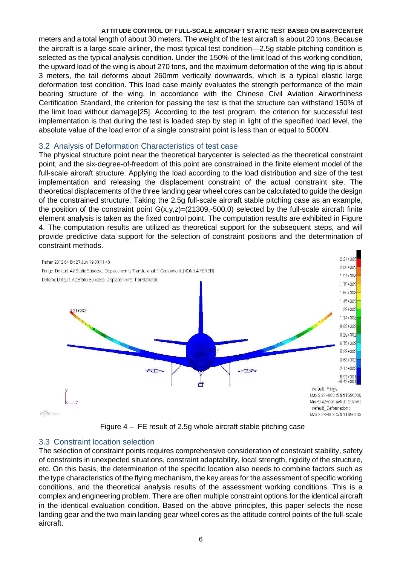meters and a total length of about 30 meters. The weight of the test aircraft is about 20 tons. Because the aircraft is a large-scale airliner, the most typical test condition—2.5g stable pitching condition is selected as the typical analysis condition. Under the 150% of the limit load of this working condition, the upward load of the wing is about 270 tons, and the maximum deformation of the wing tip is about 3 meters, the tail deforms about 260mm vertically downwards, which is a typical elastic large deformation test condition. This load case mainly evaluates the strength performance of the main bearing structure of the wing. In accordance with the Chinese Civil Aviation Airworthiness Certification Standard, the criterion for passing the test is that the structure can withstand 150% of the limit load without damage[25]. According to the test program, the criterion for successful test implementation is that during the test is loaded step by step in light of the specified load level, the absolute value of the load error of a single constraint point is less than or equal to 5000N.

### 3.2 Analysis of Deformation Characteristics of test case

The physical structure point near the theoretical barycenter is selected as the theoretical constraint point, and the six-degree-of-freedom of this point are constrained in the finite element model of the full-scale aircraft structure. Applying the load according to the load distribution and size of the test implementation and releasing the displacement constraint of the actual constraint site. The theoretical displacements of the three landing gear wheel cores can be calculated to guide the design of the constrained structure. Taking the 2.5g full-scale aircraft stable pitching case as an example, the position of the constraint point  $G(x,y,z)=(21309,-500,0)$  selected by the full-scale aircraft finite element analysis is taken as the fixed control point. The computation results are exhibited in Figure 4. The computation results are utilized as theoretical support for the subsequent steps, and will provide predictive data support for the selection of constraint positions and the determination of constraint methods.



Figure 4 – FE result of 2.5g whole aircraft stable pitching case

# 3.3 Constraint location selection

The selection of constraint points requires comprehensive consideration of constraint stability, safety of constraints in unexpected situations, constraint adaptability, local strength, rigidity of the structure, etc. On this basis, the determination of the specific location also needs to combine factors such as the type characteristics of the flying mechanism, the key areas for the assessment of specific working conditions, and the theoretical analysis results of the assessment working conditions. This is a complex and engineering problem. There are often multiple constraint options for the identical aircraft in the identical evaluation condition. Based on the above principles, this paper selects the nose landing gear and the two main landing gear wheel cores as the attitude control points of the full-scale aircraft.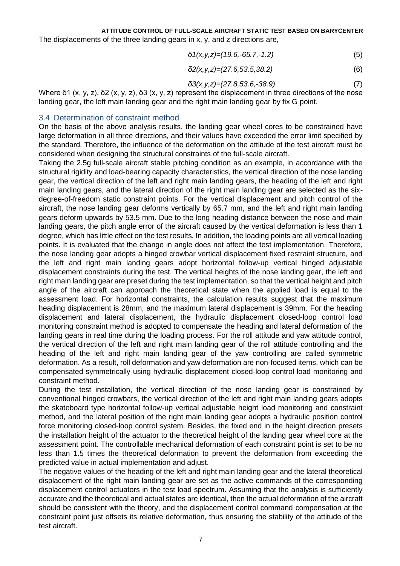The displacements of the three landing gears in x, y, and z directions are,

$$
\delta 1(x, y, z) = (19.6, -65.7, -1.2) \tag{5}
$$

$$
\delta 2(x, y, z) = (27.6, 53.5, 38.2) \tag{6}
$$

$$
\delta 3(x, y, z) = (27.8, 53.6, -38.9) \tag{7}
$$

Where δ1 (x, y, z), δ2 (x, y, z), δ3 (x, y, z) represent the displacement in three directions of the nose landing gear, the left main landing gear and the right main landing gear by fix G point.

### 3.4 Determination of constraint method

On the basis of the above analysis results, the landing gear wheel cores to be constrained have large deformation in all three directions, and their values have exceeded the error limit specified by the standard. Therefore, the influence of the deformation on the attitude of the test aircraft must be considered when designing the structural constraints of the full-scale aircraft.

Taking the 2.5g full-scale aircraft stable pitching condition as an example, in accordance with the structural rigidity and load-bearing capacity characteristics, the vertical direction of the nose landing gear, the vertical direction of the left and right main landing gears, the heading of the left and right main landing gears, and the lateral direction of the right main landing gear are selected as the sixdegree-of-freedom static constraint points. For the vertical displacement and pitch control of the aircraft, the nose landing gear deforms vertically by 65.7 mm, and the left and right main landing gears deform upwards by 53.5 mm. Due to the long heading distance between the nose and main landing gears, the pitch angle error of the aircraft caused by the vertical deformation is less than 1 degree, which has little effect on the test results. In addition, the loading points are all vertical loading points. It is evaluated that the change in angle does not affect the test implementation. Therefore, the nose landing gear adopts a hinged crowbar vertical displacement fixed restraint structure, and the left and right main landing gears adopt horizontal follow-up vertical hinged adjustable displacement constraints during the test. The vertical heights of the nose landing gear, the left and right main landing gear are preset during the test implementation, so that the vertical height and pitch angle of the aircraft can approach the theoretical state when the applied load is equal to the assessment load. For horizontal constraints, the calculation results suggest that the maximum heading displacement is 28mm, and the maximum lateral displacement is 39mm. For the heading displacement and lateral displacement, the hydraulic displacement closed-loop control load monitoring constraint method is adopted to compensate the heading and lateral deformation of the landing gears in real time during the loading process. For the roll attitude and yaw attitude control, the vertical direction of the left and right main landing gear of the roll attitude controlling and the heading of the left and right main landing gear of the yaw controlling are called symmetric deformation. As a result, roll deformation and yaw deformation are non-focused items, which can be compensated symmetrically using hydraulic displacement closed-loop control load monitoring and constraint method.

During the test installation, the vertical direction of the nose landing gear is constrained by conventional hinged crowbars, the vertical direction of the left and right main landing gears adopts the skateboard type horizontal follow-up vertical adjustable height load monitoring and constraint method, and the lateral position of the right main landing gear adopts a hydraulic position control force monitoring closed-loop control system. Besides, the fixed end in the height direction presets the installation height of the actuator to the theoretical height of the landing gear wheel core at the assessment point. The controllable mechanical deformation of each constraint point is set to be no less than 1.5 times the theoretical deformation to prevent the deformation from exceeding the predicted value in actual implementation and adjust.

The negative values of the heading of the left and right main landing gear and the lateral theoretical displacement of the right main landing gear are set as the active commands of the corresponding displacement control actuators in the test load spectrum. Assuming that the analysis is sufficiently accurate and the theoretical and actual states are identical, then the actual deformation of the aircraft should be consistent with the theory, and the displacement control command compensation at the constraint point just offsets its relative deformation, thus ensuring the stability of the attitude of the test aircraft.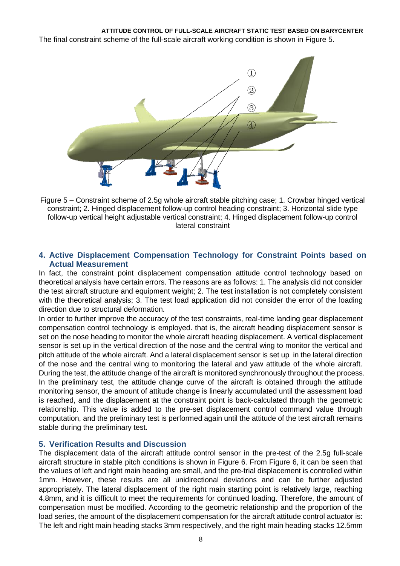The final constraint scheme of the full-scale aircraft working condition is shown in Figure 5.



Figure 5 – Constraint scheme of 2.5g whole aircraft stable pitching case; 1. Crowbar hinged vertical constraint; 2. Hinged displacement follow-up control heading constraint; 3. Horizontal slide type follow-up vertical height adjustable vertical constraint; 4. Hinged displacement follow-up control lateral constraint

# **4. Active Displacement Compensation Technology for Constraint Points based on Actual Measurement**

In fact, the constraint point displacement compensation attitude control technology based on theoretical analysis have certain errors. The reasons are as follows: 1. The analysis did not consider the test aircraft structure and equipment weight; 2. The test installation is not completely consistent with the theoretical analysis; 3. The test load application did not consider the error of the loading direction due to structural deformation.

In order to further improve the accuracy of the test constraints, real-time landing gear displacement compensation control technology is employed. that is, the aircraft heading displacement sensor is set on the nose heading to monitor the whole aircraft heading displacement. A vertical displacement sensor is set up in the vertical direction of the nose and the central wing to monitor the vertical and pitch attitude of the whole aircraft. And a lateral displacement sensor is set up in the lateral direction of the nose and the central wing to monitoring the lateral and yaw attitude of the whole aircraft. During the test, the attitude change of the aircraft is monitored synchronously throughout the process. In the preliminary test, the attitude change curve of the aircraft is obtained through the attitude monitoring sensor, the amount of attitude change is linearly accumulated until the assessment load is reached, and the displacement at the constraint point is back-calculated through the geometric relationship. This value is added to the pre-set displacement control command value through computation, and the preliminary test is performed again until the attitude of the test aircraft remains stable during the preliminary test.

# **5. Verification Results and Discussion**

The displacement data of the aircraft attitude control sensor in the pre-test of the 2.5g full-scale aircraft structure in stable pitch conditions is shown in Figure 6. From Figure 6, it can be seen that the values of left and right main heading are small, and the pre-trial displacement is controlled within 1mm. However, these results are all unidirectional deviations and can be further adjusted appropriately. The lateral displacement of the right main starting point is relatively large, reaching 4.8mm, and it is difficult to meet the requirements for continued loading. Therefore, the amount of compensation must be modified. According to the geometric relationship and the proportion of the load series, the amount of the displacement compensation for the aircraft attitude control actuator is: The left and right main heading stacks 3mm respectively, and the right main heading stacks 12.5mm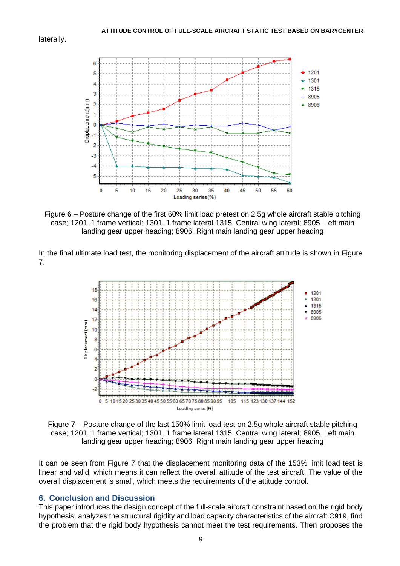laterally.



Figure 6 – Posture change of the first 60% limit load pretest on 2.5g whole aircraft stable pitching case; 1201. 1 frame vertical; 1301. 1 frame lateral 1315. Central wing lateral; 8905. Left main landing gear upper heading; 8906. Right main landing gear upper heading

In the final ultimate load test, the monitoring displacement of the aircraft attitude is shown in Figure 7.



Figure 7 – Posture change of the last 150% limit load test on 2.5g whole aircraft stable pitching case; 1201. 1 frame vertical; 1301. 1 frame lateral 1315. Central wing lateral; 8905. Left main landing gear upper heading; 8906. Right main landing gear upper heading

It can be seen from Figure 7 that the displacement monitoring data of the 153% limit load test is linear and valid, which means it can reflect the overall attitude of the test aircraft. The value of the overall displacement is small, which meets the requirements of the attitude control.

#### **6. Conclusion and Discussion**

This paper introduces the design concept of the full-scale aircraft constraint based on the rigid body hypothesis, analyzes the structural rigidity and load capacity characteristics of the aircraft C919, find the problem that the rigid body hypothesis cannot meet the test requirements. Then proposes the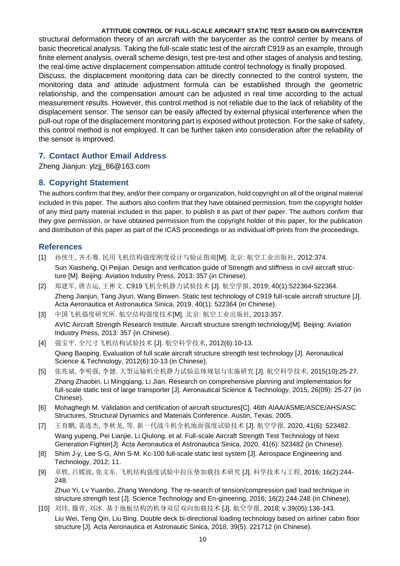structural deformation theory of an aircraft with the barycenter as the control center by means of basic theoretical analysis. Taking the full-scale static test of the aircraft C919 as an example, through finite element analysis, overall scheme design, test pre-test and other stages of analysis and testing, the real-time active displacement compensation attitude control technology is finally proposed.

Discuss, the displacement monitoring data can be directly connected to the control system, the monitoring data and attitude adjustment formula can be established through the geometric relationship, and the compensation amount can be adjusted in real time according to the actual measurement results. However, this control method is not reliable due to the lack of reliability of the displacement sensor. The sensor can be easily affected by external physical interference when the pull-out rope of the displacement monitoring part is exposed without protection. For the sake of safety, this control method is not employed. It can be further taken into consideration after the reliability of the sensor is improved.

### **7. Contact Author Email Address**

Zheng Jianjun: ylzjj 86@163.com

### **8. Copyright Statement**

The authors confirm that they, and/or their company or organization, hold copyright on all of the original material included in this paper. The authors also confirm that they have obtained permission, from the copyright holder of any third party material included in this paper, to publish it as part of their paper. The authors confirm that they give permission, or have obtained permission from the copyright holder of this paper, for the publication and distribution of this paper as part of the ICAS proceedings or as individual off-prints from the proceedings.

### **References**

- [1] 孙侠生, 齐丕骞. 民用飞机结构强度刚度设计与验证指南[M]. 北京: 航空工业出版社, 2012:374. Sun Xiasheng, Qi Peijian. Design and verification guide of Strength and stiffness in civil aircraft structure [M]. Beijing: Aviation Industry Press, 2013: 357 (in Chinese).
- [2] 郑建军, 唐吉运, 王彬文. C919飞机全机静力试验技术 [J]. 航空学报, 2019; 40(1):522364-522364. Zheng Jianjun, Tang Jiyun, Wang Binwen. Static test technology of C919 full-scale aircraft structure [J]. Acta Aeronautica et Astronautica Sinica, 2019, 40(1): 522364 (in Chinese).
- [3] 中国飞机强度研究所. 航空结构强度技术[M]. 北京: 航空工业出版社, 2013:357. AVIC Aircraft Strength Research Institute. Aircraft structure strength technology[M]. Beijing: Aviation Industry Press, 2013: 357 (in Chinese).
- [4] 强宝平. 全尺寸飞机结构试验技术 [J]. 航空科学技术, 2012(6):10-13.

Qiang Baoping. Evaluation of full scale aircraft structure strength test technology [J]. Aeronautical Science & Technology, 2012(6):10-13 (in Chinese).

- [5] 张兆斌, 李明强, 李健. 大型运输机全机静力试验总体规划与实施研究 [J]. 航空科学技术, 2015(10):25-27. Zhang Zhaobin, Li Mingqiang, Li Jian. Research on comprehensive planning and implementation for full-scale static test of large transporter [J]. Aeronautical Science & Technology, 2015, 26(09): 25-27 (in Chinese).
- [6] Mohaghegh M. Validation and certification of aircraft structures[C]. 46th AIAA/ASME/ASCE/AHS/ASC Structures, Structural Dynamics and Materials Conference. Austin, Texas, 2005.
- [7] 王育鹏, 裴连杰, 李秋龙, 等. 新一代战斗机全机地面强度试验技术 [J]. 航空学报. 2020, 41(6): 523482. Wang yupeng, Pei Lianjie, Li Qiulong. et al. Full-scale Aircraft Strength Test Technology of Next Generation Fighter[J]. Acta Aeronautica et Astronautica Sinica, 2020, 41(6): 523482 (in Chinese).
- [8] Shim J-y, Lee S-G, Ahn S-M. Kc-100 full-scale static test system [J]. Aerospace Engineering and Technology, 2012; 11.
- [9] 卓轶, 吕媛波, 张文东. 飞机结构强度试验中拉压垫加载技术研究 [J]. 科学技术与工程, 2016; 16(2):244- 248.

Zhuo Yi, Lv Yuanbo, Zhang Wendong. The re-search of tension/compression pad load technique in structure strength test [J]. Science Technology and En-gineering, 2016; 16(2):244-248 (in Chinese).

[10] 刘玮, 滕青, 刘冰. 基于地板结构的机身双层双向加载技术 [J]. 航空学报, 2018; v.39(05):136-143. Liu Wei, Teng Qin, Liu Bing. Double deck bi-directional loading technology based on airliner cabin floor structure [J]. Acta Aeronautica et Astronautic Sinica, 2018, 39(5): 221712 (in Chinese).